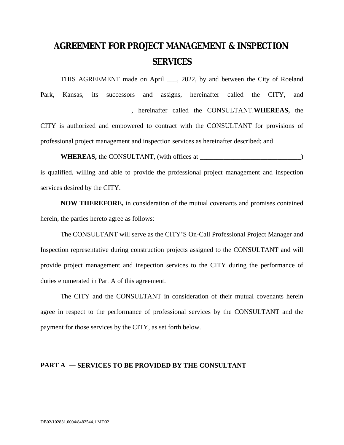# **AGREEMENT FOR PROJECT MANAGEMENT & INSPECTION SERVICES**

THIS AGREEMENT made on April \_\_\_, 2022, by and between the City of Roeland Park, Kansas, its successors and assigns, hereinafter called the CITY, and \_\_\_\_\_\_\_\_\_\_\_\_\_\_\_\_\_\_\_\_\_\_\_\_\_\_\_, hereinafter called the CONSULTANT.**WHEREAS,** the CITY is authorized and empowered to contract with the CONSULTANT for provisions of professional project management and inspection services as hereinafter described; and

**WHEREAS,** the CONSULTANT, (with offices at \_\_\_\_\_\_\_\_\_\_\_\_\_\_\_\_\_\_\_\_\_\_\_\_\_\_\_\_\_\_)

is qualified, willing and able to provide the professional project management and inspection services desired by the CITY.

**NOW THEREFORE,** in consideration of the mutual covenants and promises contained herein, the parties hereto agree as follows:

The CONSULTANT will serve as the CITY'S On-Call Professional Project Manager and Inspection representative during construction projects assigned to the CONSULTANT and will provide project management and inspection services to the CITY during the performance of duties enumerated in Part A of this agreement.

The CITY and the CONSULTANT in consideration of their mutual covenants herein agree in respect to the performance of professional services by the CONSULTANT and the payment for those services by the CITY, as set forth below.

## **PART A — SERVICES TO BE PROVIDED BY THE CONSULTANT**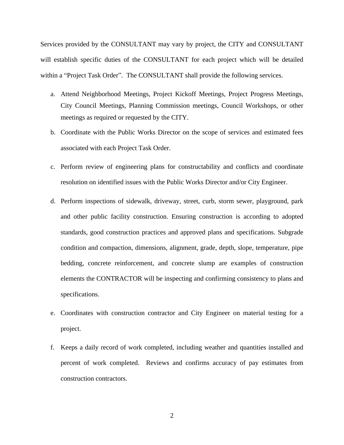Services provided by the CONSULTANT may vary by project, the CITY and CONSULTANT will establish specific duties of the CONSULTANT for each project which will be detailed within a "Project Task Order". The CONSULTANT shall provide the following services.

- a. Attend Neighborhood Meetings, Project Kickoff Meetings, Project Progress Meetings, City Council Meetings, Planning Commission meetings, Council Workshops, or other meetings as required or requested by the CITY.
- b. Coordinate with the Public Works Director on the scope of services and estimated fees associated with each Project Task Order.
- c. Perform review of engineering plans for constructability and conflicts and coordinate resolution on identified issues with the Public Works Director and/or City Engineer.
- d. Perform inspections of sidewalk, driveway, street, curb, storm sewer, playground, park and other public facility construction. Ensuring construction is according to adopted standards, good construction practices and approved plans and specifications. Subgrade condition and compaction, dimensions, alignment, grade, depth, slope, temperature, pipe bedding, concrete reinforcement, and concrete slump are examples of construction elements the CONTRACTOR will be inspecting and confirming consistency to plans and specifications.
- e. Coordinates with construction contractor and City Engineer on material testing for a project.
- f. Keeps a daily record of work completed, including weather and quantities installed and percent of work completed. Reviews and confirms accuracy of pay estimates from construction contractors.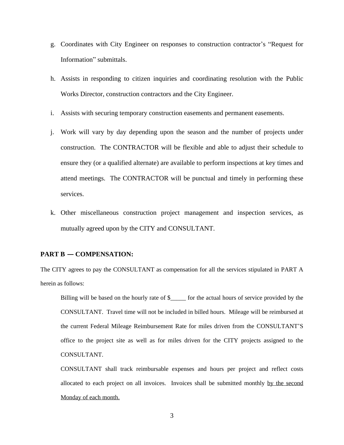- g. Coordinates with City Engineer on responses to construction contractor's "Request for Information" submittals.
- h. Assists in responding to citizen inquiries and coordinating resolution with the Public Works Director, construction contractors and the City Engineer.
- i. Assists with securing temporary construction easements and permanent easements.
- j. Work will vary by day depending upon the season and the number of projects under construction. The CONTRACTOR will be flexible and able to adjust their schedule to ensure they (or a qualified alternate) are available to perform inspections at key times and attend meetings. The CONTRACTOR will be punctual and timely in performing these services.
- k. Other miscellaneous construction project management and inspection services, as mutually agreed upon by the CITY and CONSULTANT.

## **PART B — COMPENSATION:**

The CITY agrees to pay the CONSULTANT as compensation for all the services stipulated in PART A herein as follows:

Billing will be based on the hourly rate of \$\_\_\_\_\_ for the actual hours of service provided by the CONSULTANT. Travel time will not be included in billed hours. Mileage will be reimbursed at the current Federal Mileage Reimbursement Rate for miles driven from the CONSULTANT'S office to the project site as well as for miles driven for the CITY projects assigned to the CONSULTANT.

CONSULTANT shall track reimbursable expenses and hours per project and reflect costs allocated to each project on all invoices. Invoices shall be submitted monthly by the second Monday of each month.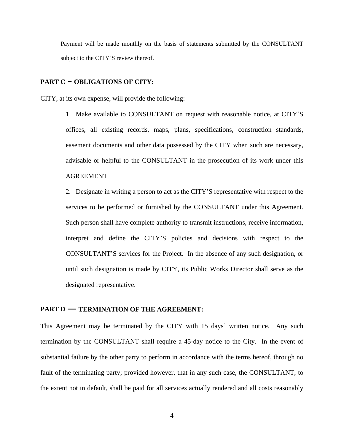Payment will be made monthly on the basis of statements submitted by the CONSULTANT subject to the CITY'S review thereof.

#### **PART C – OBLIGATIONS OF CITY:**

CITY, at its own expense, will provide the following:

1. Make available to CONSULTANT on request with reasonable notice, at CITY'S offices, all existing records, maps, plans, specifications, construction standards, easement documents and other data possessed by the CITY when such are necessary, advisable or helpful to the CONSULTANT in the prosecution of its work under this AGREEMENT.

2. Designate in writing a person to act as the CITY'S representative with respect to the services to be performed or furnished by the CONSULTANT under this Agreement. Such person shall have complete authority to transmit instructions, receive information, interpret and define the CITY'S policies and decisions with respect to the CONSULTANT'S services for the Project. In the absence of any such designation, or until such designation is made by CITY, its Public Works Director shall serve as the designated representative.

## **PART D — TERMINATION OF THE AGREEMENT:**

This Agreement may be terminated by the CITY with 15 days' written notice. Any such termination by the CONSULTANT shall require a 45-day notice to the City. In the event of substantial failure by the other party to perform in accordance with the terms hereof, through no fault of the terminating party; provided however, that in any such case, the CONSULTANT, to the extent not in default, shall be paid for all services actually rendered and all costs reasonably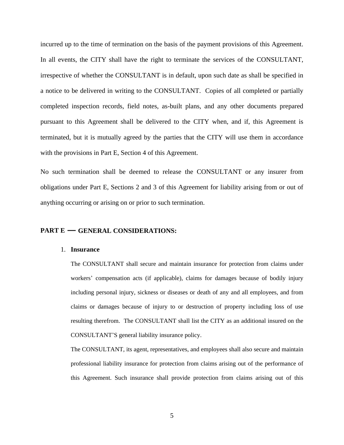incurred up to the time of termination on the basis of the payment provisions of this Agreement. In all events, the CITY shall have the right to terminate the services of the CONSULTANT, irrespective of whether the CONSULTANT is in default, upon such date as shall be specified in a notice to be delivered in writing to the CONSULTANT. Copies of all completed or partially completed inspection records, field notes, as-built plans, and any other documents prepared pursuant to this Agreement shall be delivered to the CITY when, and if, this Agreement is terminated, but it is mutually agreed by the parties that the CITY will use them in accordance with the provisions in Part E, Section 4 of this Agreement.

No such termination shall be deemed to release the CONSULTANT or any insurer from obligations under Part E, Sections 2 and 3 of this Agreement for liability arising from or out of anything occurring or arising on or prior to such termination.

#### **PART E — GENERAL CONSIDERATIONS:**

#### 1. **Insurance**

The CONSULTANT shall secure and maintain insurance for protection from claims under workers' compensation acts (if applicable), claims for damages because of bodily injury including personal injury, sickness or diseases or death of any and all employees, and from claims or damages because of injury to or destruction of property including loss of use resulting therefrom. The CONSULTANT shall list the CITY as an additional insured on the CONSULTANT'S general liability insurance policy.

The CONSULTANT, its agent, representatives, and employees shall also secure and maintain professional liability insurance for protection from claims arising out of the performance of this Agreement. Such insurance shall provide protection from claims arising out of this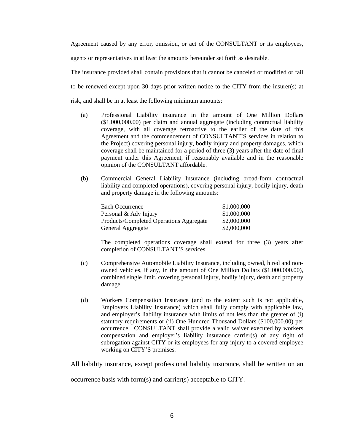Agreement caused by any error, omission, or act of the CONSULTANT or its employees,

agents or representatives in at least the amounts hereunder set forth as desirable.

The insurance provided shall contain provisions that it cannot be canceled or modified or fail to be renewed except upon 30 days prior written notice to the CITY from the insurer(s) at risk, and shall be in at least the following minimum amounts:

- (a) Professional Liability insurance in the amount of One Million Dollars (\$1,000,000.00) per claim and annual aggregate (including contractual liability coverage, with all coverage retroactive to the earlier of the date of this Agreement and the commencement of CONSULTANT'S services in relation to the Project) covering personal injury, bodily injury and property damages, which coverage shall be maintained for a period of three (3) years after the date of final payment under this Agreement, if reasonably available and in the reasonable opinion of the CONSULTANT affordable.
- (b) Commercial General Liability Insurance (including broad-form contractual liability and completed operations), covering personal injury, bodily injury, death and property damage in the following amounts:

| Each Occurrence                         | \$1,000,000 |
|-----------------------------------------|-------------|
| Personal & Adv Injury                   | \$1,000,000 |
| Products/Completed Operations Aggregate | \$2,000,000 |
| General Aggregate                       | \$2,000,000 |

The completed operations coverage shall extend for three (3) years after completion of CONSULTANT'S services.

- (c) Comprehensive Automobile Liability Insurance, including owned, hired and nonowned vehicles, if any, in the amount of One Million Dollars (\$1,000,000.00), combined single limit, covering personal injury, bodily injury, death and property damage.
- (d) Workers Compensation Insurance (and to the extent such is not applicable, Employers Liability Insurance) which shall fully comply with applicable law, and employer's liability insurance with limits of not less than the greater of (i) statutory requirements or (ii) One Hundred Thousand Dollars (\$100,000.00) per occurrence. CONSULTANT shall provide a valid waiver executed by workers compensation and employer's liability insurance carrier(s) of any right of subrogation against CITY or its employees for any injury to a covered employee working on CITY'S premises.

All liability insurance, except professional liability insurance, shall be written on an

occurrence basis with form(s) and carrier(s) acceptable to CITY.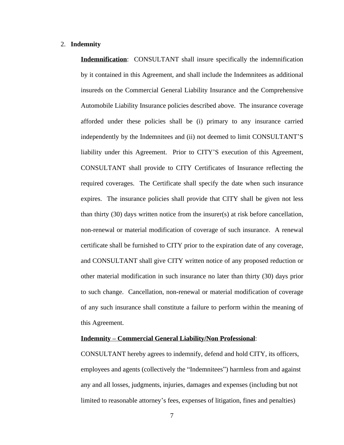#### 2. **Indemnity**

**Indemnification**: CONSULTANT shall insure specifically the indemnification by it contained in this Agreement, and shall include the Indemnitees as additional insureds on the Commercial General Liability Insurance and the Comprehensive Automobile Liability Insurance policies described above. The insurance coverage afforded under these policies shall be (i) primary to any insurance carried independently by the Indemnitees and (ii) not deemed to limit CONSULTANT'S liability under this Agreement. Prior to CITY'S execution of this Agreement, CONSULTANT shall provide to CITY Certificates of Insurance reflecting the required coverages. The Certificate shall specify the date when such insurance expires. The insurance policies shall provide that CITY shall be given not less than thirty (30) days written notice from the insurer(s) at risk before cancellation, non-renewal or material modification of coverage of such insurance. A renewal certificate shall be furnished to CITY prior to the expiration date of any coverage, and CONSULTANT shall give CITY written notice of any proposed reduction or other material modification in such insurance no later than thirty (30) days prior to such change. Cancellation, non-renewal or material modification of coverage of any such insurance shall constitute a failure to perform within the meaning of this Agreement.

#### **Indemnity – Commercial General Liability/Non Professional**:

CONSULTANT hereby agrees to indemnify, defend and hold CITY, its officers, employees and agents (collectively the "Indemnitees") harmless from and against any and all losses, judgments, injuries, damages and expenses (including but not limited to reasonable attorney's fees, expenses of litigation, fines and penalties)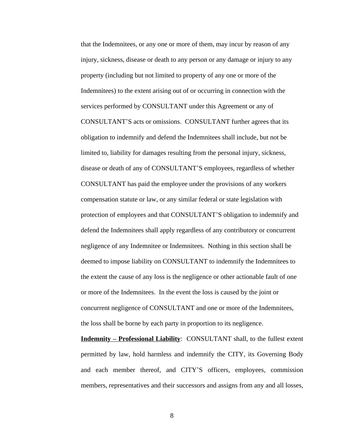that the Indemnitees, or any one or more of them, may incur by reason of any injury, sickness, disease or death to any person or any damage or injury to any property (including but not limited to property of any one or more of the Indemnitees) to the extent arising out of or occurring in connection with the services performed by CONSULTANT under this Agreement or any of CONSULTANT'S acts or omissions. CONSULTANT further agrees that its obligation to indemnify and defend the Indemnitees shall include, but not be limited to, liability for damages resulting from the personal injury, sickness, disease or death of any of CONSULTANT'S employees, regardless of whether CONSULTANT has paid the employee under the provisions of any workers compensation statute or law, or any similar federal or state legislation with protection of employees and that CONSULTANT'S obligation to indemnify and defend the Indemnitees shall apply regardless of any contributory or concurrent negligence of any Indemnitee or Indemnitees. Nothing in this section shall be deemed to impose liability on CONSULTANT to indemnify the Indemnitees to the extent the cause of any loss is the negligence or other actionable fault of one or more of the Indemnitees. In the event the loss is caused by the joint or concurrent negligence of CONSULTANT and one or more of the Indemnitees, the loss shall be borne by each party in proportion to its negligence.

**Indemnity – Professional Liability**: CONSULTANT shall, to the fullest extent permitted by law, hold harmless and indemnify the CITY, its Governing Body and each member thereof, and CITY'S officers, employees, commission members, representatives and their successors and assigns from any and all losses,

8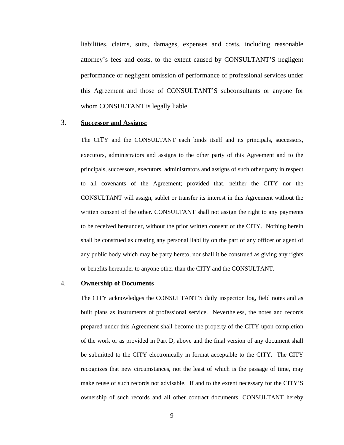liabilities, claims, suits, damages, expenses and costs, including reasonable attorney's fees and costs, to the extent caused by CONSULTANT'S negligent performance or negligent omission of performance of professional services under this Agreement and those of CONSULTANT'S subconsultants or anyone for whom CONSULTANT is legally liable.

## 3. **Successor and Assigns:**

The CITY and the CONSULTANT each binds itself and its principals, successors, executors, administrators and assigns to the other party of this Agreement and to the principals, successors, executors, administrators and assigns of such other party in respect to all covenants of the Agreement; provided that, neither the CITY nor the CONSULTANT will assign, sublet or transfer its interest in this Agreement without the written consent of the other. CONSULTANT shall not assign the right to any payments to be received hereunder, without the prior written consent of the CITY. Nothing herein shall be construed as creating any personal liability on the part of any officer or agent of any public body which may be party hereto, nor shall it be construed as giving any rights or benefits hereunder to anyone other than the CITY and the CONSULTANT.

#### 4. **Ownership of Documents**

The CITY acknowledges the CONSULTANT'S daily inspection log, field notes and as built plans as instruments of professional service. Nevertheless, the notes and records prepared under this Agreement shall become the property of the CITY upon completion of the work or as provided in Part D, above and the final version of any document shall be submitted to the CITY electronically in format acceptable to the CITY. The CITY recognizes that new circumstances, not the least of which is the passage of time, may make reuse of such records not advisable. If and to the extent necessary for the CITY'S ownership of such records and all other contract documents, CONSULTANT hereby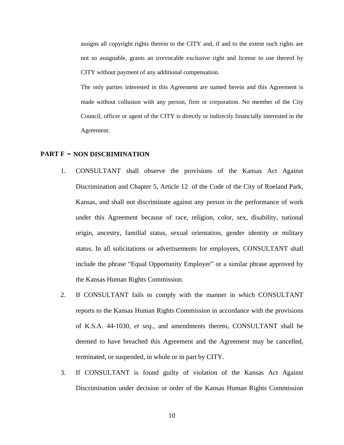assigns all copyright rights therein to the CITY and, if and to the extent such rights are not so assignable, grants an irrevocable exclusive right and license to use thereof by CITY without payment of any additional compensation.

The only parties interested in this Agreement are named herein and this Agreement is made without collusion with any person, firm or corporation. No member of the City Council, officer or agent of the CITY is directly or indirectly financially interested in the Agreement.

## **PART F – NON DISCRIMINATION**

- 1. CONSULTANT shall observe the provisions of the Kansas Act Against Discrimination and Chapter 5, Article 12 of the Code of the City of Roeland Park, Kansas, and shall not discriminate against any person in the performance of work under this Agreement because of race, religion, color, sex, disability, national origin, ancestry, familial status, sexual orientation, gender identity or military status. In all solicitations or advertisements for employees, CONSULTANT shall include the phrase "Equal Opportunity Employer" or a similar phrase approved by the Kansas Human Rights Commission.
- 2. If CONSULTANT fails to comply with the manner in which CONSULTANT reports to the Kansas Human Rights Commission in accordance with the provisions of K.S.A. 44-1030, *et seq.*, and amendments thereto, CONSULTANT shall be deemed to have breached this Agreement and the Agreement may be cancelled, terminated, or suspended, in whole or in part by CITY.
- 3. If CONSULTANT is found guilty of violation of the Kansas Act Against Discrimination under decision or order of the Kansas Human Rights Commission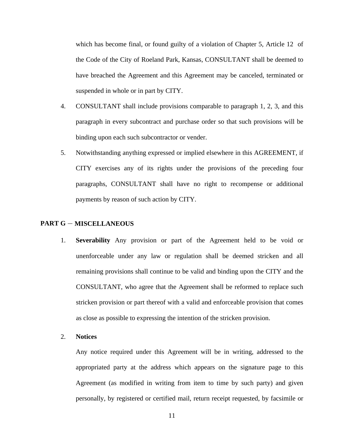which has become final, or found guilty of a violation of Chapter 5, Article 12 of the Code of the City of Roeland Park, Kansas, CONSULTANT shall be deemed to have breached the Agreement and this Agreement may be canceled, terminated or suspended in whole or in part by CITY.

- 4. CONSULTANT shall include provisions comparable to paragraph 1, 2, 3, and this paragraph in every subcontract and purchase order so that such provisions will be binding upon each such subcontractor or vender.
- 5. Notwithstanding anything expressed or implied elsewhere in this AGREEMENT, if CITY exercises any of its rights under the provisions of the preceding four paragraphs, CONSULTANT shall have no right to recompense or additional payments by reason of such action by CITY.

## **PART G** – **MISCELLANEOUS**

- 1. **Severability** Any provision or part of the Agreement held to be void or unenforceable under any law or regulation shall be deemed stricken and all remaining provisions shall continue to be valid and binding upon the CITY and the CONSULTANT, who agree that the Agreement shall be reformed to replace such stricken provision or part thereof with a valid and enforceable provision that comes as close as possible to expressing the intention of the stricken provision.
- 2. **Notices**

Any notice required under this Agreement will be in writing, addressed to the appropriated party at the address which appears on the signature page to this Agreement (as modified in writing from item to time by such party) and given personally, by registered or certified mail, return receipt requested, by facsimile or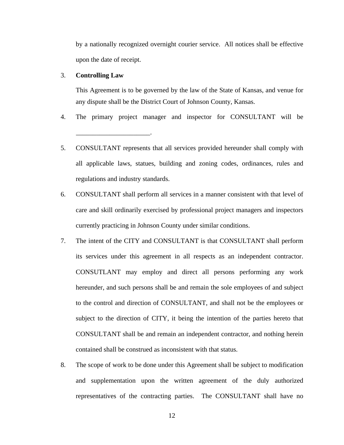by a nationally recognized overnight courier service. All notices shall be effective upon the date of receipt.

## 3. **Controlling Law**

\_\_\_\_\_\_\_\_\_\_\_\_\_\_\_\_\_\_\_\_\_\_.

This Agreement is to be governed by the law of the State of Kansas, and venue for any dispute shall be the District Court of Johnson County, Kansas.

- 4. The primary project manager and inspector for CONSULTANT will be
- 5. CONSULTANT represents that all services provided hereunder shall comply with all applicable laws, statues, building and zoning codes, ordinances, rules and regulations and industry standards.
- 6. CONSULTANT shall perform all services in a manner consistent with that level of care and skill ordinarily exercised by professional project managers and inspectors currently practicing in Johnson County under similar conditions.
- 7. The intent of the CITY and CONSULTANT is that CONSULTANT shall perform its services under this agreement in all respects as an independent contractor. CONSUTLANT may employ and direct all persons performing any work hereunder, and such persons shall be and remain the sole employees of and subject to the control and direction of CONSULTANT, and shall not be the employees or subject to the direction of CITY, it being the intention of the parties hereto that CONSULTANT shall be and remain an independent contractor, and nothing herein contained shall be construed as inconsistent with that status.
- 8. The scope of work to be done under this Agreement shall be subject to modification and supplementation upon the written agreement of the duly authorized representatives of the contracting parties. The CONSULTANT shall have no